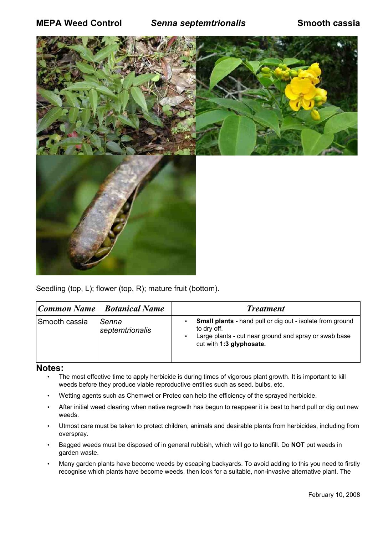

Seedling (top, L); flower (top, R); mature fruit (bottom).

|               | Common Name   Botanical Name | <b>Treatment</b>                                                                                                                                                     |
|---------------|------------------------------|----------------------------------------------------------------------------------------------------------------------------------------------------------------------|
| Smooth cassia | Senna<br>septemtrionalis     | <b>Small plants - hand pull or dig out - isolate from ground</b><br>to dry off.<br>Large plants - cut near ground and spray or swab base<br>cut with 1:3 glyphosate. |

## **Notes:**

- The most effective time to apply herbicide is during times of vigorous plant growth. It is important to kill weeds before they produce viable reproductive entities such as seed. bulbs, etc,
- Wetting agents such as Chemwet or Protec can help the efficiency of the sprayed herbicide.
- After initial weed clearing when native regrowth has begun to reappear it is best to hand pull or dig out new weeds.
- Utmost care must be taken to protect children, animals and desirable plants from herbicides, including from overspray.
- Bagged weeds must be disposed of in general rubbish, which will go to landfill. Do **NOT** put weeds in garden waste.
- Many garden plants have become weeds by escaping backyards. To avoid adding to this you need to firstly recognise which plants have become weeds, then look for a suitable, non-invasive alternative plant. The